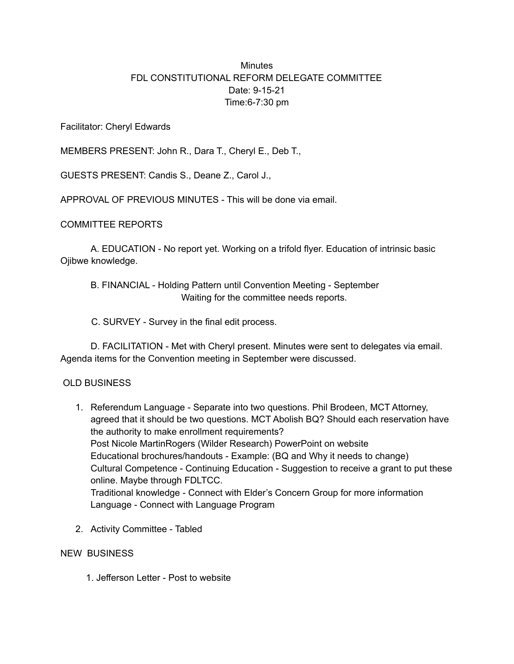## **Minutes** FDL CONSTITUTIONAL REFORM DELEGATE COMMITTEE Date: 9-15-21 Time:6-7:30 pm

Facilitator: Cheryl Edwards

MEMBERS PRESENT: John R., Dara T., Cheryl E., Deb T.,

GUESTS PRESENT: Candis S., Deane Z., Carol J.,

APPROVAL OF PREVIOUS MINUTES - This will be done via email.

## COMMITTEE REPORTS

A. EDUCATION - No report yet. Working on a trifold flyer. Education of intrinsic basic Ojibwe knowledge.

B. FINANCIAL - Holding Pattern until Convention Meeting - September Waiting for the committee needs reports.

C. SURVEY - Survey in the final edit process.

D. FACILITATION - Met with Cheryl present. Minutes were sent to delegates via email. Agenda items for the Convention meeting in September were discussed.

## OLD BUSINESS

- 1. Referendum Language Separate into two questions. Phil Brodeen, MCT Attorney, agreed that it should be two questions. MCT Abolish BQ? Should each reservation have the authority to make enrollment requirements? Post Nicole MartinRogers (Wilder Research) PowerPoint on website Educational brochures/handouts - Example: (BQ and Why it needs to change) Cultural Competence - Continuing Education - Suggestion to receive a grant to put these online. Maybe through FDLTCC. Traditional knowledge - Connect with Elder's Concern Group for more information Language - Connect with Language Program
- 2. Activity Committee Tabled

## NEW BUSINESS

1. Jefferson Letter - Post to website